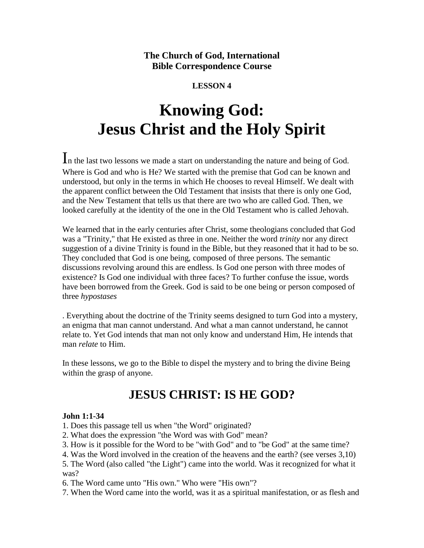**The Church of God, International Bible Correspondence Course**

#### **LESSON 4**

# **Knowing God: Jesus Christ and the Holy Spirit**

In the last two lessons we made a start on understanding the nature and being of God. Where is God and who is He? We started with the premise that God can be known and understood, but only in the terms in which He chooses to reveal Himself. We dealt with the apparent conflict between the Old Testament that insists that there is only one God, and the New Testament that tells us that there are two who are called God. Then, we looked carefully at the identity of the one in the Old Testament who is called Jehovah.

We learned that in the early centuries after Christ, some theologians concluded that God was a "Trinity," that He existed as three in one. Neither the word *trinity* nor any direct suggestion of a divine Trinity is found in the Bible, but they reasoned that it had to be so. They concluded that God is one being, composed of three persons. The semantic discussions revolving around this are endless. Is God one person with three modes of existence? Is God one individual with three faces? To further confuse the issue, words have been borrowed from the Greek. God is said to be one being or person composed of three *hypostases*

. Everything about the doctrine of the Trinity seems designed to turn God into a mystery, an enigma that man cannot understand. And what a man cannot understand, he cannot relate to. Yet God intends that man not only know and understand Him, He intends that man *relate* to Him.

In these lessons, we go to the Bible to dispel the mystery and to bring the divine Being within the grasp of anyone.

## **JESUS CHRIST: IS HE GOD?**

#### **John 1:1-34**

1. Does this passage tell us when "the Word" originated?

- 2. What does the expression "the Word was with God" mean?
- 3. How is it possible for the Word to be "with God" and to "be God" at the same time?
- 4. Was the Word involved in the creation of the heavens and the earth? (see verses 3,10)

5. The Word (also called "the Light") came into the world. Was it recognized for what it was?

6. The Word came unto "His own." Who were "His own"?

7. When the Word came into the world, was it as a spiritual manifestation, or as flesh and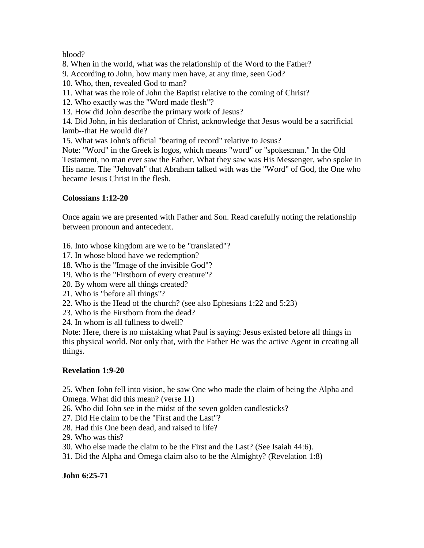#### blood?

8. When in the world, what was the relationship of the Word to the Father?

- 9. According to John, how many men have, at any time, seen God?
- 10. Who, then, revealed God to man?
- 11. What was the role of John the Baptist relative to the coming of Christ?
- 12. Who exactly was the "Word made flesh"?
- 13. How did John describe the primary work of Jesus?

14. Did John, in his declaration of Christ, acknowledge that Jesus would be a sacrificial lamb--that He would die?

15. What was John's official "bearing of record" relative to Jesus?

Note: "Word" in the Greek is logos, which means "word" or "spokesman." In the Old Testament, no man ever saw the Father. What they saw was His Messenger, who spoke in His name. The "Jehovah" that Abraham talked with was the "Word" of God, the One who became Jesus Christ in the flesh.

#### **Colossians 1:12-20**

Once again we are presented with Father and Son. Read carefully noting the relationship between pronoun and antecedent.

- 16. Into whose kingdom are we to be "translated"?
- 17. In whose blood have we redemption?
- 18. Who is the "Image of the invisible God"?
- 19. Who is the "Firstborn of every creature"?
- 20. By whom were all things created?
- 21. Who is "before all things"?
- 22. Who is the Head of the church? (see also Ephesians 1:22 and 5:23)
- 23. Who is the Firstborn from the dead?
- 24. In whom is all fullness to dwell?

Note: Here, there is no mistaking what Paul is saying: Jesus existed before all things in this physical world. Not only that, with the Father He was the active Agent in creating all things.

#### **Revelation 1:9-20**

25. When John fell into vision, he saw One who made the claim of being the Alpha and Omega. What did this mean? (verse 11)

26. Who did John see in the midst of the seven golden candlesticks?

- 27. Did He claim to be the "First and the Last"?
- 28. Had this One been dead, and raised to life?
- 29. Who was this?

30. Who else made the claim to be the First and the Last? (See Isaiah 44:6).

31. Did the Alpha and Omega claim also to be the Almighty? (Revelation 1:8)

**John 6:25-71**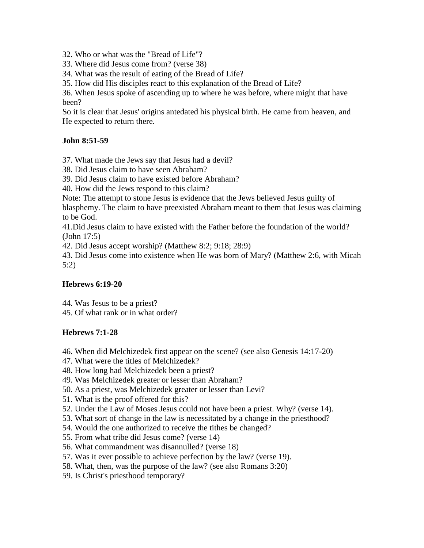32. Who or what was the "Bread of Life"?

33. Where did Jesus come from? (verse 38)

34. What was the result of eating of the Bread of Life?

35. How did His disciples react to this explanation of the Bread of Life?

36. When Jesus spoke of ascending up to where he was before, where might that have been?

So it is clear that Jesus' origins antedated his physical birth. He came from heaven, and He expected to return there.

#### **John 8:51-59**

37. What made the Jews say that Jesus had a devil?

38. Did Jesus claim to have seen Abraham?

39. Did Jesus claim to have existed before Abraham?

40. How did the Jews respond to this claim?

Note: The attempt to stone Jesus is evidence that the Jews believed Jesus guilty of

blasphemy. The claim to have preexisted Abraham meant to them that Jesus was claiming to be God.

41.Did Jesus claim to have existed with the Father before the foundation of the world? (John 17:5)

42. Did Jesus accept worship? (Matthew 8:2; 9:18; 28:9)

43. Did Jesus come into existence when He was born of Mary? (Matthew 2:6, with Micah 5:2)

#### **Hebrews 6:19-20**

44. Was Jesus to be a priest?

45. Of what rank or in what order?

#### **Hebrews 7:1-28**

- 46. When did Melchizedek first appear on the scene? (see also Genesis 14:17-20)
- 47. What were the titles of Melchizedek?
- 48. How long had Melchizedek been a priest?
- 49. Was Melchizedek greater or lesser than Abraham?
- 50. As a priest, was Melchizedek greater or lesser than Levi?
- 51. What is the proof offered for this?
- 52. Under the Law of Moses Jesus could not have been a priest. Why? (verse 14).
- 53. What sort of change in the law is necessitated by a change in the priesthood?
- 54. Would the one authorized to receive the tithes be changed?
- 55. From what tribe did Jesus come? (verse 14)
- 56. What commandment was disannulled? (verse 18)
- 57. Was it ever possible to achieve perfection by the law? (verse 19).
- 58. What, then, was the purpose of the law? (see also Romans 3:20)
- 59. Is Christ's priesthood temporary?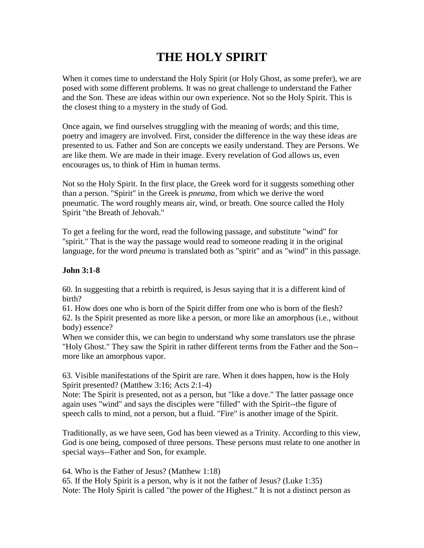# **THE HOLY SPIRIT**

When it comes time to understand the Holy Spirit (or Holy Ghost, as some prefer), we are posed with some different problems. It was no great challenge to understand the Father and the Son. These are ideas within our own experience. Not so the Holy Spirit. This is the closest thing to a mystery in the study of God.

Once again, we find ourselves struggling with the meaning of words; and this time, poetry and imagery are involved. First, consider the difference in the way these ideas are presented to us. Father and Son are concepts we easily understand. They are Persons. We are like them. We are made in their image. Every revelation of God allows us, even encourages us, to think of Him in human terms.

Not so the Holy Spirit. In the first place, the Greek word for it suggests something other than a person. "Spirit" in the Greek is *pneuma*, from which we derive the word pneumatic. The word roughly means air, wind, or breath. One source called the Holy Spirit "the Breath of Jehovah."

To get a feeling for the word, read the following passage, and substitute "wind" for "spirit." That is the way the passage would read to someone reading it in the original language, for the word *pneuma* is translated both as "spirit" and as "wind" in this passage.

#### **John 3:1-8**

60. In suggesting that a rebirth is required, is Jesus saying that it is a different kind of birth?

61. How does one who is born of the Spirit differ from one who is born of the flesh? 62. Is the Spirit presented as more like a person, or more like an amorphous (i.e., without body) essence?

When we consider this, we can begin to understand why some translators use the phrase "Holy Ghost." They saw the Spirit in rather different terms from the Father and the Son- more like an amorphous vapor.

63. Visible manifestations of the Spirit are rare. When it does happen, how is the Holy Spirit presented? (Matthew 3:16; Acts 2:1-4)

Note: The Spirit is presented, not as a person, but "like a dove." The latter passage once again uses "wind" and says the disciples were "filled" with the Spirit--the figure of speech calls to mind, not a person, but a fluid. "Fire" is another image of the Spirit.

Traditionally, as we have seen, God has been viewed as a Trinity. According to this view, God is one being, composed of three persons. These persons must relate to one another in special ways--Father and Son, for example.

64. Who is the Father of Jesus? (Matthew 1:18)

65. If the Holy Spirit is a person, why is it not the father of Jesus? (Luke 1:35) Note: The Holy Spirit is called "the power of the Highest." It is not a distinct person as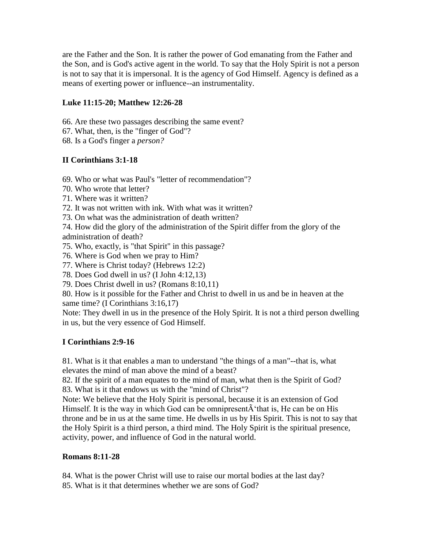are the Father and the Son. It is rather the power of God emanating from the Father and the Son, and is God's active agent in the world. To say that the Holy Spirit is not a person is not to say that it is impersonal. It is the agency of God Himself. Agency is defined as a means of exerting power or influence--an instrumentality.

#### **Luke 11:15-20; Matthew 12:26-28**

- 66. Are these two passages describing the same event?
- 67. What, then, is the "finger of God"?
- 68. Is a God's finger a *person?*

#### **II Corinthians 3:1-18**

- 69. Who or what was Paul's "letter of recommendation"?
- 70. Who wrote that letter?
- 71. Where was it written?
- 72. It was not written with ink. With what was it written?
- 73. On what was the administration of death written?
- 74. How did the glory of the administration of the Spirit differ from the glory of the administration of death?
- 75. Who, exactly, is "that Spirit" in this passage?
- 76. Where is God when we pray to Him?
- 77. Where is Christ today? (Hebrews 12:2)
- 78. Does God dwell in us? (I John 4:12,13)
- 79. Does Christ dwell in us? (Romans 8:10,11)

80. How is it possible for the Father and Christ to dwell in us and be in heaven at the same time? (I Corinthians 3:16,17)

Note: They dwell in us in the presence of the Holy Spirit. It is not a third person dwelling in us, but the very essence of God Himself.

#### **I Corinthians 2:9-16**

81. What is it that enables a man to understand "the things of a man"--that is, what elevates the mind of man above the mind of a beast?

82. If the spirit of a man equates to the mind of man, what then is the Spirit of God? 83. What is it that endows us with the "mind of Christ"?

Note: We believe that the Holy Spirit is personal, because it is an extension of God Himself. It is the way in which God can be omnipresent $\tilde{A}$  that is, He can be on His throne and be in us at the same time. He dwells in us by His Spirit. This is not to say that the Holy Spirit is a third person, a third mind. The Holy Spirit is the spiritual presence, activity, power, and influence of God in the natural world.

#### **Romans 8:11-28**

84. What is the power Christ will use to raise our mortal bodies at the last day?

85. What is it that determines whether we are sons of God?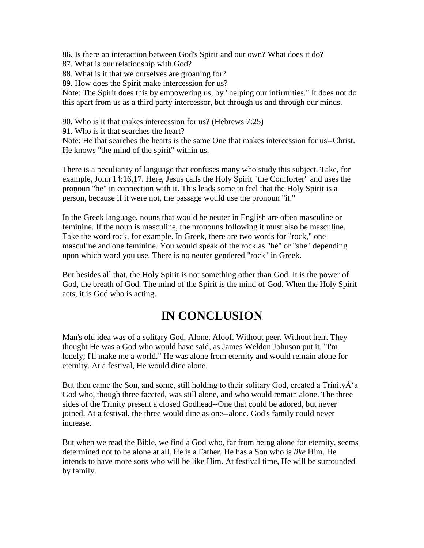86. Is there an interaction between God's Spirit and our own? What does it do?

- 87. What is our relationship with God?
- 88. What is it that we ourselves are groaning for?
- 89. How does the Spirit make intercession for us?

Note: The Spirit does this by empowering us, by "helping our infirmities." It does not do this apart from us as a third party intercessor, but through us and through our minds.

90. Who is it that makes intercession for us? (Hebrews 7:25)

91. Who is it that searches the heart?

Note: He that searches the hearts is the same One that makes intercession for us--Christ. He knows "the mind of the spirit" within us.

There is a peculiarity of language that confuses many who study this subject. Take, for example, John 14:16,17. Here, Jesus calls the Holy Spirit "the Comforter" and uses the pronoun "he" in connection with it. This leads some to feel that the Holy Spirit is a person, because if it were not, the passage would use the pronoun "it."

In the Greek language, nouns that would be neuter in English are often masculine or feminine. If the noun is masculine, the pronouns following it must also be masculine. Take the word rock, for example. In Greek, there are two words for "rock," one masculine and one feminine. You would speak of the rock as "he" or "she" depending upon which word you use. There is no neuter gendered "rock" in Greek.

But besides all that, the Holy Spirit is not something other than God. It is the power of God, the breath of God. The mind of the Spirit is the mind of God. When the Holy Spirit acts, it is God who is acting.

## **IN CONCLUSION**

Man's old idea was of a solitary God. Alone. Aloof. Without peer. Without heir. They thought He was a God who would have said, as James Weldon Johnson put it, "I'm lonely; I'll make me a world." He was alone from eternity and would remain alone for eternity. At a festival, He would dine alone.

But then came the Son, and some, still holding to their solitary God, created a Trinity $\tilde{A}^{\dagger}$ a God who, though three faceted, was still alone, and who would remain alone. The three sides of the Trinity present a closed Godhead--One that could be adored, but never joined. At a festival, the three would dine as one--alone. God's family could never increase.

But when we read the Bible, we find a God who, far from being alone for eternity, seems determined not to be alone at all. He is a Father. He has a Son who is *like* Him. He intends to have more sons who will be like Him. At festival time, He will be surrounded by family.